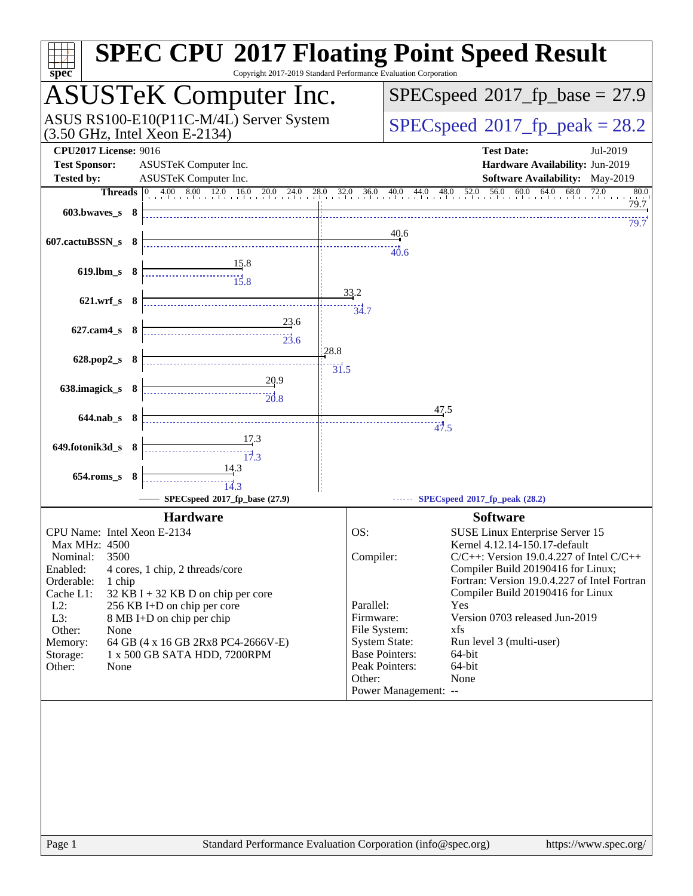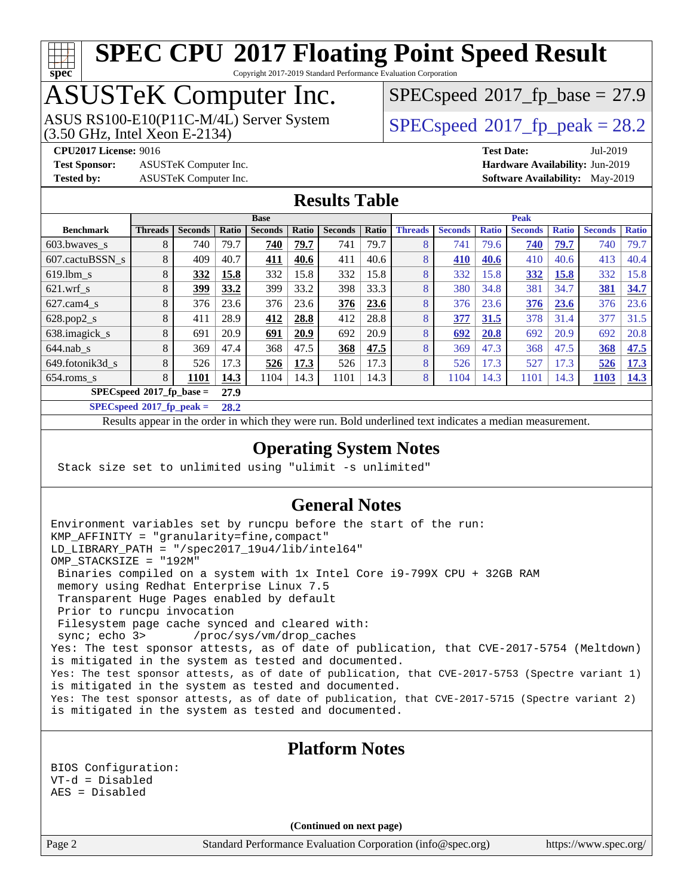# **[spec](http://www.spec.org/)**

# **[SPEC CPU](http://www.spec.org/auto/cpu2017/Docs/result-fields.html#SPECCPU2017FloatingPointSpeedResult)[2017 Floating Point Speed Result](http://www.spec.org/auto/cpu2017/Docs/result-fields.html#SPECCPU2017FloatingPointSpeedResult)**

Copyright 2017-2019 Standard Performance Evaluation Corporation

## ASUSTeK Computer Inc.

(3.50 GHz, Intel Xeon E-2134) ASUS RS100-E10(P11C-M/4L) Server System  $SPECspeed@2017$  $SPECspeed@2017$  fp\_peak = 28.2

 $SPECspeed*2017_fp\_base = 27.9$  $SPECspeed*2017_fp\_base = 27.9$ 

**[Test Sponsor:](http://www.spec.org/auto/cpu2017/Docs/result-fields.html#TestSponsor)** ASUSTeK Computer Inc. **[Hardware Availability:](http://www.spec.org/auto/cpu2017/Docs/result-fields.html#HardwareAvailability)** Jun-2019

**[CPU2017 License:](http://www.spec.org/auto/cpu2017/Docs/result-fields.html#CPU2017License)** 9016 **[Test Date:](http://www.spec.org/auto/cpu2017/Docs/result-fields.html#TestDate)** Jul-2019 **[Tested by:](http://www.spec.org/auto/cpu2017/Docs/result-fields.html#Testedby)** ASUSTeK Computer Inc. **[Software Availability:](http://www.spec.org/auto/cpu2017/Docs/result-fields.html#SoftwareAvailability)** May-2019

#### **[Results Table](http://www.spec.org/auto/cpu2017/Docs/result-fields.html#ResultsTable)**

|                             | <b>Base</b>    |                |       |                | <b>Peak</b> |                |       |                |                |              |                |              |                |              |
|-----------------------------|----------------|----------------|-------|----------------|-------------|----------------|-------|----------------|----------------|--------------|----------------|--------------|----------------|--------------|
| <b>Benchmark</b>            | <b>Threads</b> | <b>Seconds</b> | Ratio | <b>Seconds</b> | Ratio       | <b>Seconds</b> | Ratio | <b>Threads</b> | <b>Seconds</b> | <b>Ratio</b> | <b>Seconds</b> | <b>Ratio</b> | <b>Seconds</b> | <b>Ratio</b> |
| $603.bwaves$ s              | 8              | 740            | 79.7  | 740            | 79.7        | 741            | 79.7  | 8              | 741            | 79.6         | 740            | 79.7         | 740            | 79.7         |
| 607.cactuBSSN s             | 8              | 409            | 40.7  | 411            | 40.6        | 411            | 40.6  | 8              | 410            | 40.6         | 410            | 40.6         | 413            | 40.4         |
| $619$ .lbm s                | 8              | 332            | 15.8  | 332            | 15.8        | 332            | 15.8  | 8              | 332            | 15.8         | 332            | 15.8         | 332            | 15.8         |
| $621.wrf$ s                 | 8              | 399            | 33.2  | 399            | 33.2        | 398            | 33.3  | 8              | 380            | 34.8         | 381            | 34.7         | 381            | 34.7         |
| $627$ .cam4 s               | 8              | 376            | 23.6  | 376            | 23.6        | 376            | 23.6  | 8              | 376            | 23.6         | 376            | 23.6         | 376            | 23.6         |
| $628.pop2_s$                | 8              | 411            | 28.9  | 412            | 28.8        | 412            | 28.8  | 8              | 377            | 31.5         | 378            | 31.4         | 377            | 31.5         |
| 638.imagick_s               | 8              | 691            | 20.9  | 691            | 20.9        | 692            | 20.9  | 8              | 692            | 20.8         | 692            | 20.9         | 692            | 20.8         |
| $644$ .nab s                | 8              | 369            | 47.4  | 368            | 47.5        | 368            | 47.5  | 8              | 369            | 47.3         | 368            | 47.5         | 368            | 47.5         |
| 649.fotonik3d_s             | 8              | 526            | 17.3  | 526            | 17.3        | 526            | 17.3  | 8              | 526            | 17.3         | 527            | 17.3         | 526            | 17.3         |
| $654$ .roms s               | 8              | 1101           | 14.3  | 1104           | 14.3        | 1101           | 14.3  | 8              | 1104           | 14.3         | 1101           | 14.3         | 1103           | 14.3         |
| $SPECspeed*2017_fp\_base =$ |                |                |       |                |             |                |       |                |                |              |                |              |                |              |

**[SPECspeed](http://www.spec.org/auto/cpu2017/Docs/result-fields.html#SPECspeed2017fppeak)[2017\\_fp\\_peak =](http://www.spec.org/auto/cpu2017/Docs/result-fields.html#SPECspeed2017fppeak) 28.2**

Results appear in the [order in which they were run.](http://www.spec.org/auto/cpu2017/Docs/result-fields.html#RunOrder) Bold underlined text [indicates a median measurement.](http://www.spec.org/auto/cpu2017/Docs/result-fields.html#Median)

#### **[Operating System Notes](http://www.spec.org/auto/cpu2017/Docs/result-fields.html#OperatingSystemNotes)**

Stack size set to unlimited using "ulimit -s unlimited"

### **[General Notes](http://www.spec.org/auto/cpu2017/Docs/result-fields.html#GeneralNotes)**

Environment variables set by runcpu before the start of the run: KMP\_AFFINITY = "granularity=fine,compact" LD\_LIBRARY\_PATH = "/spec2017\_19u4/lib/intel64" OMP\_STACKSIZE = "192M" Binaries compiled on a system with 1x Intel Core i9-799X CPU + 32GB RAM memory using Redhat Enterprise Linux 7.5 Transparent Huge Pages enabled by default Prior to runcpu invocation Filesystem page cache synced and cleared with: sync; echo 3> /proc/sys/vm/drop\_caches Yes: The test sponsor attests, as of date of publication, that CVE-2017-5754 (Meltdown) is mitigated in the system as tested and documented. Yes: The test sponsor attests, as of date of publication, that CVE-2017-5753 (Spectre variant 1) is mitigated in the system as tested and documented. Yes: The test sponsor attests, as of date of publication, that CVE-2017-5715 (Spectre variant 2) is mitigated in the system as tested and documented.

#### BIOS Configuration: VT-d = Disabled AES = Disabled

**(Continued on next page)**

**[Platform Notes](http://www.spec.org/auto/cpu2017/Docs/result-fields.html#PlatformNotes)**

Page 2 Standard Performance Evaluation Corporation [\(info@spec.org\)](mailto:info@spec.org) <https://www.spec.org/>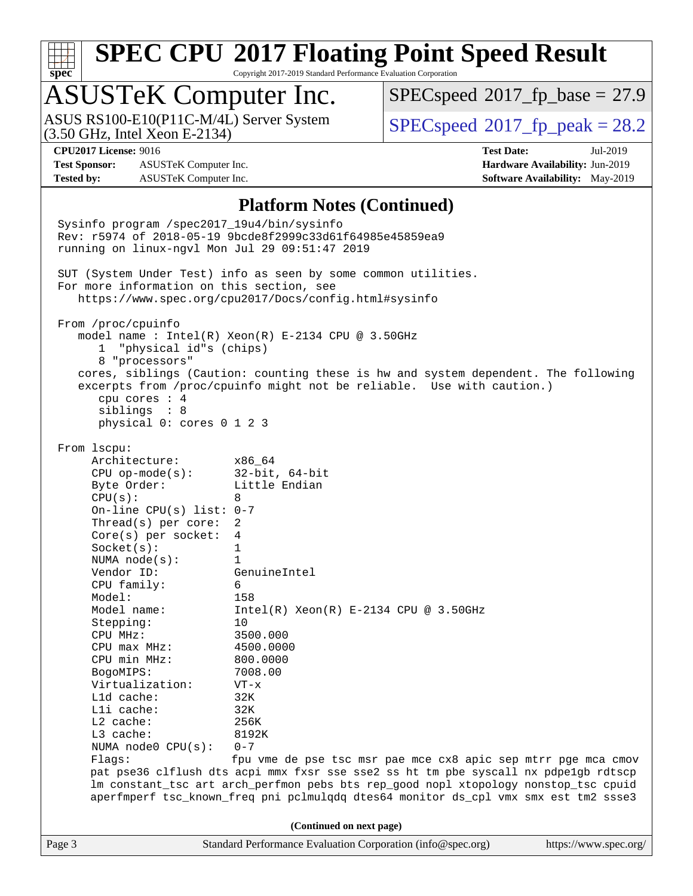| x<br>ť<br>н.<br>c |  |  |  |  |  |  |
|-------------------|--|--|--|--|--|--|

Copyright 2017-2019 Standard Performance Evaluation Corporation

## ASUSTeK Computer Inc.

(3.50 GHz, Intel Xeon E-2134) ASUS RS100-E10(P11C-M/4L) Server System  $\vert$  [SPECspeed](http://www.spec.org/auto/cpu2017/Docs/result-fields.html#SPECspeed2017fppeak)®[2017\\_fp\\_peak = 2](http://www.spec.org/auto/cpu2017/Docs/result-fields.html#SPECspeed2017fppeak)8.2

 $SPECspeed^{\circ}2017\_fp\_base = 27.9$  $SPECspeed^{\circ}2017\_fp\_base = 27.9$ 

**[Test Sponsor:](http://www.spec.org/auto/cpu2017/Docs/result-fields.html#TestSponsor)** ASUSTeK Computer Inc. **[Hardware Availability:](http://www.spec.org/auto/cpu2017/Docs/result-fields.html#HardwareAvailability)** Jun-2019 **[Tested by:](http://www.spec.org/auto/cpu2017/Docs/result-fields.html#Testedby)** ASUSTeK Computer Inc. **[Software Availability:](http://www.spec.org/auto/cpu2017/Docs/result-fields.html#SoftwareAvailability)** May-2019

**[CPU2017 License:](http://www.spec.org/auto/cpu2017/Docs/result-fields.html#CPU2017License)** 9016 **[Test Date:](http://www.spec.org/auto/cpu2017/Docs/result-fields.html#TestDate)** Jul-2019

#### **[Platform Notes \(Continued\)](http://www.spec.org/auto/cpu2017/Docs/result-fields.html#PlatformNotes)**

Page 3 Standard Performance Evaluation Corporation [\(info@spec.org\)](mailto:info@spec.org) <https://www.spec.org/> Sysinfo program /spec2017\_19u4/bin/sysinfo Rev: r5974 of 2018-05-19 9bcde8f2999c33d61f64985e45859ea9 running on linux-ngvl Mon Jul 29 09:51:47 2019 SUT (System Under Test) info as seen by some common utilities. For more information on this section, see <https://www.spec.org/cpu2017/Docs/config.html#sysinfo> From /proc/cpuinfo model name : Intel(R) Xeon(R) E-2134 CPU @ 3.50GHz 1 "physical id"s (chips) 8 "processors" cores, siblings (Caution: counting these is hw and system dependent. The following excerpts from /proc/cpuinfo might not be reliable. Use with caution.) cpu cores : 4 siblings : 8 physical 0: cores 0 1 2 3 From lscpu: Architecture: x86\_64 CPU op-mode(s): 32-bit, 64-bit Byte Order: Little Endian  $CPU(s):$  8 On-line CPU(s) list: 0-7 Thread(s) per core: 2 Core(s) per socket: 4 Socket(s): 1 NUMA node(s): 1 Vendor ID: GenuineIntel CPU family: 6 Model: 158 Model name: Intel(R) Xeon(R) E-2134 CPU @ 3.50GHz Stepping: 10 CPU MHz: 3500.000 CPU max MHz: 4500.0000 CPU min MHz: 800.0000 BogoMIPS: 7008.00 Virtualization: VT-x L1d cache: 32K L1i cache: 32K L2 cache: 256K L3 cache: 8192K NUMA node0 CPU(s): 0-7 Flags: fpu vme de pse tsc msr pae mce cx8 apic sep mtrr pge mca cmov pat pse36 clflush dts acpi mmx fxsr sse sse2 ss ht tm pbe syscall nx pdpe1gb rdtscp lm constant\_tsc art arch\_perfmon pebs bts rep\_good nopl xtopology nonstop\_tsc cpuid aperfmperf tsc\_known\_freq pni pclmulqdq dtes64 monitor ds\_cpl vmx smx est tm2 ssse3 **(Continued on next page)**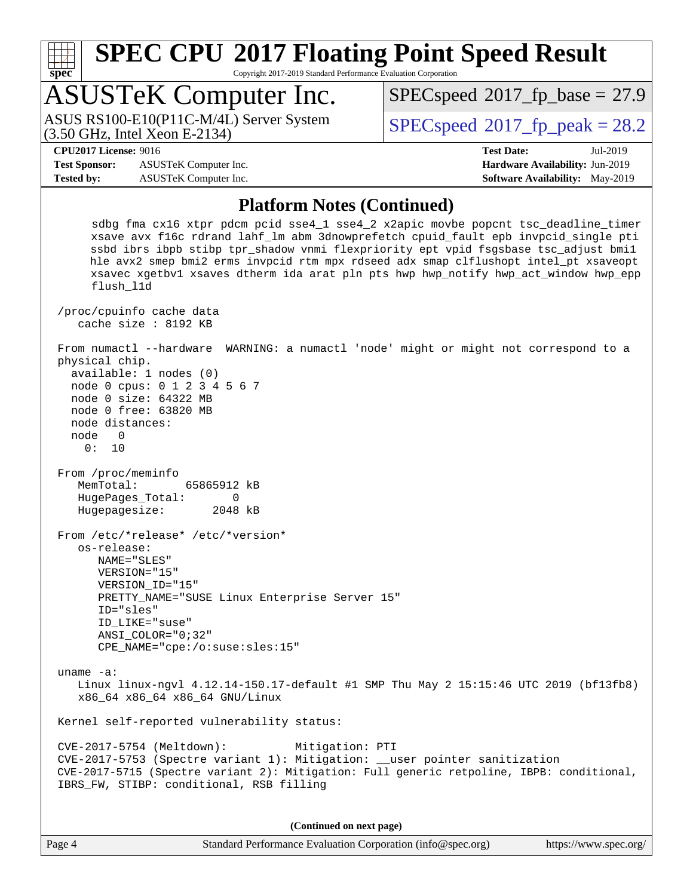

Copyright 2017-2019 Standard Performance Evaluation Corporation

## ASUSTeK Computer Inc.

(3.50 GHz, Intel Xeon E-2134) ASUS RS100-E10(P11C-M/4L) Server System  $SPECspeed@2017$  $SPECspeed@2017$  fp\_peak = 28.2

 $SPECspeed*2017_fp\_base = 27.9$  $SPECspeed*2017_fp\_base = 27.9$ 

**[Test Sponsor:](http://www.spec.org/auto/cpu2017/Docs/result-fields.html#TestSponsor)** ASUSTeK Computer Inc. **[Hardware Availability:](http://www.spec.org/auto/cpu2017/Docs/result-fields.html#HardwareAvailability)** Jun-2019 **[Tested by:](http://www.spec.org/auto/cpu2017/Docs/result-fields.html#Testedby)** ASUSTeK Computer Inc. **[Software Availability:](http://www.spec.org/auto/cpu2017/Docs/result-fields.html#SoftwareAvailability)** May-2019

**[CPU2017 License:](http://www.spec.org/auto/cpu2017/Docs/result-fields.html#CPU2017License)** 9016 **[Test Date:](http://www.spec.org/auto/cpu2017/Docs/result-fields.html#TestDate)** Jul-2019

#### **[Platform Notes \(Continued\)](http://www.spec.org/auto/cpu2017/Docs/result-fields.html#PlatformNotes)**

 sdbg fma cx16 xtpr pdcm pcid sse4\_1 sse4\_2 x2apic movbe popcnt tsc\_deadline\_timer xsave avx f16c rdrand lahf\_lm abm 3dnowprefetch cpuid\_fault epb invpcid\_single pti ssbd ibrs ibpb stibp tpr\_shadow vnmi flexpriority ept vpid fsgsbase tsc\_adjust bmi1 hle avx2 smep bmi2 erms invpcid rtm mpx rdseed adx smap clflushopt intel\_pt xsaveopt xsavec xgetbv1 xsaves dtherm ida arat pln pts hwp hwp\_notify hwp\_act\_window hwp\_epp flush\_l1d /proc/cpuinfo cache data cache size : 8192 KB From numactl --hardware WARNING: a numactl 'node' might or might not correspond to a physical chip. available: 1 nodes (0) node 0 cpus: 0 1 2 3 4 5 6 7 node 0 size: 64322 MB node 0 free: 63820 MB node distances: node 0 0: 10 From /proc/meminfo MemTotal: 65865912 kB HugePages\_Total: 0 Hugepagesize: 2048 kB

 From /etc/\*release\* /etc/\*version\* os-release: NAME="SLES" VERSION="15" VERSION\_ID="15" PRETTY\_NAME="SUSE Linux Enterprise Server 15" ID="sles" ID\_LIKE="suse" ANSI\_COLOR="0;32" CPE\_NAME="cpe:/o:suse:sles:15"

uname -a:

 Linux linux-ngvl 4.12.14-150.17-default #1 SMP Thu May 2 15:15:46 UTC 2019 (bf13fb8) x86\_64 x86\_64 x86\_64 GNU/Linux

Kernel self-reported vulnerability status:

 CVE-2017-5754 (Meltdown): Mitigation: PTI CVE-2017-5753 (Spectre variant 1): Mitigation: \_\_user pointer sanitization CVE-2017-5715 (Spectre variant 2): Mitigation: Full generic retpoline, IBPB: conditional, IBRS\_FW, STIBP: conditional, RSB filling

**(Continued on next page)**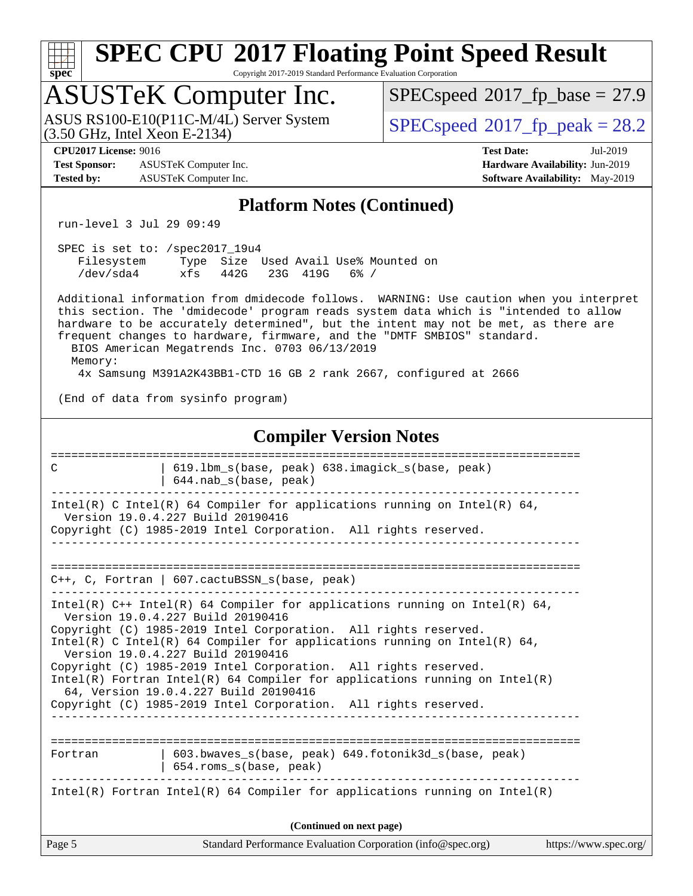## **[SPEC CPU](http://www.spec.org/auto/cpu2017/Docs/result-fields.html#SPECCPU2017FloatingPointSpeedResult)[2017 Floating Point Speed Result](http://www.spec.org/auto/cpu2017/Docs/result-fields.html#SPECCPU2017FloatingPointSpeedResult)** Copyright 2017-2019 Standard Performance Evaluation Corporation

## ASUSTeK Computer Inc.

(3.50 GHz, Intel Xeon E-2134) ASUS RS100-E10(P11C-M/4L) Server System  $\sqrt{SPECspeed^{\circ}2017\_fp\_peak} = 28.2$  $\sqrt{SPECspeed^{\circ}2017\_fp\_peak} = 28.2$  $\sqrt{SPECspeed^{\circ}2017\_fp\_peak} = 28.2$ 

 $SPECspeed*2017_fp\_base = 27.9$  $SPECspeed*2017_fp\_base = 27.9$ 

**[spec](http://www.spec.org/)**

**[Test Sponsor:](http://www.spec.org/auto/cpu2017/Docs/result-fields.html#TestSponsor)** ASUSTeK Computer Inc. **[Hardware Availability:](http://www.spec.org/auto/cpu2017/Docs/result-fields.html#HardwareAvailability)** Jun-2019 **[Tested by:](http://www.spec.org/auto/cpu2017/Docs/result-fields.html#Testedby)** ASUSTeK Computer Inc. **[Software Availability:](http://www.spec.org/auto/cpu2017/Docs/result-fields.html#SoftwareAvailability)** May-2019

**[CPU2017 License:](http://www.spec.org/auto/cpu2017/Docs/result-fields.html#CPU2017License)** 9016 **[Test Date:](http://www.spec.org/auto/cpu2017/Docs/result-fields.html#TestDate)** Jul-2019

#### **[Platform Notes \(Continued\)](http://www.spec.org/auto/cpu2017/Docs/result-fields.html#PlatformNotes)**

run-level 3 Jul 29 09:49

| SPEC is set to: /spec2017 19u4 |     |  |                   |                                      |  |
|--------------------------------|-----|--|-------------------|--------------------------------------|--|
| Filesystem                     |     |  |                   | Type Size Used Avail Use% Mounted on |  |
| /dev/sda4                      | xfs |  | 442G 23G 419G 6%/ |                                      |  |

 Additional information from dmidecode follows. WARNING: Use caution when you interpret this section. The 'dmidecode' program reads system data which is "intended to allow hardware to be accurately determined", but the intent may not be met, as there are frequent changes to hardware, firmware, and the "DMTF SMBIOS" standard. BIOS American Megatrends Inc. 0703 06/13/2019 Memory:

4x Samsung M391A2K43BB1-CTD 16 GB 2 rank 2667, configured at 2666

(End of data from sysinfo program)

#### **[Compiler Version Notes](http://www.spec.org/auto/cpu2017/Docs/result-fields.html#CompilerVersionNotes)**

| 619.1bm s(base, peak) 638.imagick s(base, peak)<br>C<br>$644$ .nab $s$ (base, peak)                                                                                                                                                                              |  |  |  |  |  |
|------------------------------------------------------------------------------------------------------------------------------------------------------------------------------------------------------------------------------------------------------------------|--|--|--|--|--|
| Intel(R) C Intel(R) 64 Compiler for applications running on Intel(R) 64,<br>Version 19.0.4.227 Build 20190416                                                                                                                                                    |  |  |  |  |  |
| Copyright (C) 1985-2019 Intel Corporation. All rights reserved.                                                                                                                                                                                                  |  |  |  |  |  |
| $C_{++}$ , C, Fortran   607.cactuBSSN s(base, peak)                                                                                                                                                                                                              |  |  |  |  |  |
| Intel(R) $C++$ Intel(R) 64 Compiler for applications running on Intel(R) 64,<br>Version 19.0.4.227 Build 20190416<br>Copyright (C) 1985-2019 Intel Corporation. All rights reserved.<br>Intel(R) C Intel(R) 64 Compiler for applications running on Intel(R) 64, |  |  |  |  |  |
| Version 19.0.4.227 Build 20190416<br>Copyright (C) 1985-2019 Intel Corporation. All rights reserved.                                                                                                                                                             |  |  |  |  |  |
| Intel(R) Fortran Intel(R) 64 Compiler for applications running on Intel(R)<br>64, Version 19.0.4.227 Build 20190416                                                                                                                                              |  |  |  |  |  |
| Copyright (C) 1985-2019 Intel Corporation. All rights reserved.                                                                                                                                                                                                  |  |  |  |  |  |
|                                                                                                                                                                                                                                                                  |  |  |  |  |  |
| $603.bwaves$ s(base, peak) $649.fotonik3d$ s(base, peak)<br>Fortran<br>654.roms_s(base, peak)                                                                                                                                                                    |  |  |  |  |  |
| Intel(R) Fortran Intel(R) 64 Compiler for applications running on Intel(R)                                                                                                                                                                                       |  |  |  |  |  |
| (Continued on next page)                                                                                                                                                                                                                                         |  |  |  |  |  |
| Page 5<br>Standard Performance Evaluation Corporation (info@spec.org)<br>https://www.spec.org/                                                                                                                                                                   |  |  |  |  |  |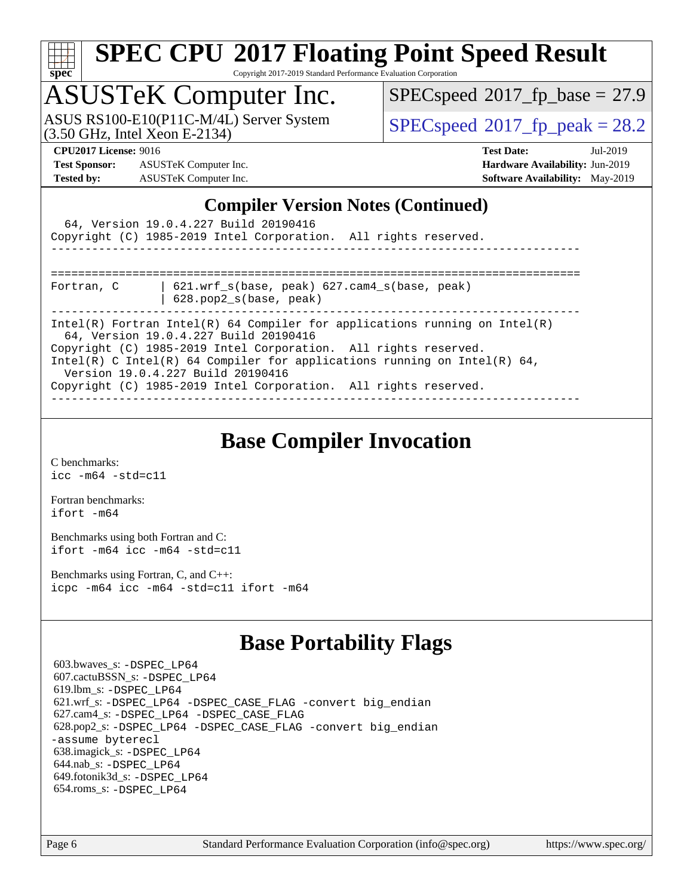

Copyright 2017-2019 Standard Performance Evaluation Corporation

## ASUSTeK Computer Inc.

(3.50 GHz, Intel Xeon E-2134) ASUS RS100-E10(P11C-M/4L) Server System  $\sqrt{SPECspeed^{\circ}2017\_fp\_peak} = 28.2$  $\sqrt{SPECspeed^{\circ}2017\_fp\_peak} = 28.2$  $\sqrt{SPECspeed^{\circ}2017\_fp\_peak} = 28.2$ 

 $SPECspeed*2017_fp\_base = 27.9$  $SPECspeed*2017_fp\_base = 27.9$ 

**[Test Sponsor:](http://www.spec.org/auto/cpu2017/Docs/result-fields.html#TestSponsor)** ASUSTeK Computer Inc. **[Hardware Availability:](http://www.spec.org/auto/cpu2017/Docs/result-fields.html#HardwareAvailability)** Jun-2019 **[Tested by:](http://www.spec.org/auto/cpu2017/Docs/result-fields.html#Testedby)** ASUSTeK Computer Inc. **[Software Availability:](http://www.spec.org/auto/cpu2017/Docs/result-fields.html#SoftwareAvailability)** May-2019

**[CPU2017 License:](http://www.spec.org/auto/cpu2017/Docs/result-fields.html#CPU2017License)** 9016 **[Test Date:](http://www.spec.org/auto/cpu2017/Docs/result-fields.html#TestDate)** Jul-2019

#### **[Compiler Version Notes \(Continued\)](http://www.spec.org/auto/cpu2017/Docs/result-fields.html#CompilerVersionNotes)**

| 64, Version 19.0.4.227 Build 20190416<br>Copyright (C) 1985-2019 Intel Corporation. All rights reserved.                                                                                                                                                                                                                                                                   |
|----------------------------------------------------------------------------------------------------------------------------------------------------------------------------------------------------------------------------------------------------------------------------------------------------------------------------------------------------------------------------|
| $621$ .wrf $s(base, peak)$ 627.cam4 $s(base, peak)$<br>Fortran, C<br>628.pop2 s(base, peak)                                                                                                                                                                                                                                                                                |
| Intel(R) Fortran Intel(R) 64 Compiler for applications running on Intel(R)<br>64, Version 19.0.4.227 Build 20190416<br>Copyright (C) 1985-2019 Intel Corporation. All rights reserved.<br>Intel(R) C Intel(R) 64 Compiler for applications running on Intel(R) 64,<br>Version 19.0.4.227 Build 20190416<br>Copyright (C) 1985-2019 Intel Corporation. All rights reserved. |

### **[Base Compiler Invocation](http://www.spec.org/auto/cpu2017/Docs/result-fields.html#BaseCompilerInvocation)**

[C benchmarks](http://www.spec.org/auto/cpu2017/Docs/result-fields.html#Cbenchmarks): [icc -m64 -std=c11](http://www.spec.org/cpu2017/results/res2019q3/cpu2017-20190826-17242.flags.html#user_CCbase_intel_icc_64bit_c11_33ee0cdaae7deeeab2a9725423ba97205ce30f63b9926c2519791662299b76a0318f32ddfffdc46587804de3178b4f9328c46fa7c2b0cd779d7a61945c91cd35)

[Fortran benchmarks](http://www.spec.org/auto/cpu2017/Docs/result-fields.html#Fortranbenchmarks): [ifort -m64](http://www.spec.org/cpu2017/results/res2019q3/cpu2017-20190826-17242.flags.html#user_FCbase_intel_ifort_64bit_24f2bb282fbaeffd6157abe4f878425411749daecae9a33200eee2bee2fe76f3b89351d69a8130dd5949958ce389cf37ff59a95e7a40d588e8d3a57e0c3fd751)

[Benchmarks using both Fortran and C](http://www.spec.org/auto/cpu2017/Docs/result-fields.html#BenchmarksusingbothFortranandC): [ifort -m64](http://www.spec.org/cpu2017/results/res2019q3/cpu2017-20190826-17242.flags.html#user_CC_FCbase_intel_ifort_64bit_24f2bb282fbaeffd6157abe4f878425411749daecae9a33200eee2bee2fe76f3b89351d69a8130dd5949958ce389cf37ff59a95e7a40d588e8d3a57e0c3fd751) [icc -m64 -std=c11](http://www.spec.org/cpu2017/results/res2019q3/cpu2017-20190826-17242.flags.html#user_CC_FCbase_intel_icc_64bit_c11_33ee0cdaae7deeeab2a9725423ba97205ce30f63b9926c2519791662299b76a0318f32ddfffdc46587804de3178b4f9328c46fa7c2b0cd779d7a61945c91cd35)

[Benchmarks using Fortran, C, and C++:](http://www.spec.org/auto/cpu2017/Docs/result-fields.html#BenchmarksusingFortranCandCXX) [icpc -m64](http://www.spec.org/cpu2017/results/res2019q3/cpu2017-20190826-17242.flags.html#user_CC_CXX_FCbase_intel_icpc_64bit_4ecb2543ae3f1412ef961e0650ca070fec7b7afdcd6ed48761b84423119d1bf6bdf5cad15b44d48e7256388bc77273b966e5eb805aefd121eb22e9299b2ec9d9) [icc -m64 -std=c11](http://www.spec.org/cpu2017/results/res2019q3/cpu2017-20190826-17242.flags.html#user_CC_CXX_FCbase_intel_icc_64bit_c11_33ee0cdaae7deeeab2a9725423ba97205ce30f63b9926c2519791662299b76a0318f32ddfffdc46587804de3178b4f9328c46fa7c2b0cd779d7a61945c91cd35) [ifort -m64](http://www.spec.org/cpu2017/results/res2019q3/cpu2017-20190826-17242.flags.html#user_CC_CXX_FCbase_intel_ifort_64bit_24f2bb282fbaeffd6157abe4f878425411749daecae9a33200eee2bee2fe76f3b89351d69a8130dd5949958ce389cf37ff59a95e7a40d588e8d3a57e0c3fd751)

### **[Base Portability Flags](http://www.spec.org/auto/cpu2017/Docs/result-fields.html#BasePortabilityFlags)**

 603.bwaves\_s: [-DSPEC\\_LP64](http://www.spec.org/cpu2017/results/res2019q3/cpu2017-20190826-17242.flags.html#suite_basePORTABILITY603_bwaves_s_DSPEC_LP64) 607.cactuBSSN\_s: [-DSPEC\\_LP64](http://www.spec.org/cpu2017/results/res2019q3/cpu2017-20190826-17242.flags.html#suite_basePORTABILITY607_cactuBSSN_s_DSPEC_LP64) 619.lbm\_s: [-DSPEC\\_LP64](http://www.spec.org/cpu2017/results/res2019q3/cpu2017-20190826-17242.flags.html#suite_basePORTABILITY619_lbm_s_DSPEC_LP64) 621.wrf\_s: [-DSPEC\\_LP64](http://www.spec.org/cpu2017/results/res2019q3/cpu2017-20190826-17242.flags.html#suite_basePORTABILITY621_wrf_s_DSPEC_LP64) [-DSPEC\\_CASE\\_FLAG](http://www.spec.org/cpu2017/results/res2019q3/cpu2017-20190826-17242.flags.html#b621.wrf_s_baseCPORTABILITY_DSPEC_CASE_FLAG) [-convert big\\_endian](http://www.spec.org/cpu2017/results/res2019q3/cpu2017-20190826-17242.flags.html#user_baseFPORTABILITY621_wrf_s_convert_big_endian_c3194028bc08c63ac5d04de18c48ce6d347e4e562e8892b8bdbdc0214820426deb8554edfa529a3fb25a586e65a3d812c835984020483e7e73212c4d31a38223) 627.cam4\_s: [-DSPEC\\_LP64](http://www.spec.org/cpu2017/results/res2019q3/cpu2017-20190826-17242.flags.html#suite_basePORTABILITY627_cam4_s_DSPEC_LP64) [-DSPEC\\_CASE\\_FLAG](http://www.spec.org/cpu2017/results/res2019q3/cpu2017-20190826-17242.flags.html#b627.cam4_s_baseCPORTABILITY_DSPEC_CASE_FLAG) 628.pop2\_s: [-DSPEC\\_LP64](http://www.spec.org/cpu2017/results/res2019q3/cpu2017-20190826-17242.flags.html#suite_basePORTABILITY628_pop2_s_DSPEC_LP64) [-DSPEC\\_CASE\\_FLAG](http://www.spec.org/cpu2017/results/res2019q3/cpu2017-20190826-17242.flags.html#b628.pop2_s_baseCPORTABILITY_DSPEC_CASE_FLAG) [-convert big\\_endian](http://www.spec.org/cpu2017/results/res2019q3/cpu2017-20190826-17242.flags.html#user_baseFPORTABILITY628_pop2_s_convert_big_endian_c3194028bc08c63ac5d04de18c48ce6d347e4e562e8892b8bdbdc0214820426deb8554edfa529a3fb25a586e65a3d812c835984020483e7e73212c4d31a38223) [-assume byterecl](http://www.spec.org/cpu2017/results/res2019q3/cpu2017-20190826-17242.flags.html#user_baseFPORTABILITY628_pop2_s_assume_byterecl_7e47d18b9513cf18525430bbf0f2177aa9bf368bc7a059c09b2c06a34b53bd3447c950d3f8d6c70e3faf3a05c8557d66a5798b567902e8849adc142926523472) 638.imagick\_s: [-DSPEC\\_LP64](http://www.spec.org/cpu2017/results/res2019q3/cpu2017-20190826-17242.flags.html#suite_basePORTABILITY638_imagick_s_DSPEC_LP64) 644.nab\_s: [-DSPEC\\_LP64](http://www.spec.org/cpu2017/results/res2019q3/cpu2017-20190826-17242.flags.html#suite_basePORTABILITY644_nab_s_DSPEC_LP64) 649.fotonik3d\_s: [-DSPEC\\_LP64](http://www.spec.org/cpu2017/results/res2019q3/cpu2017-20190826-17242.flags.html#suite_basePORTABILITY649_fotonik3d_s_DSPEC_LP64) 654.roms\_s: [-DSPEC\\_LP64](http://www.spec.org/cpu2017/results/res2019q3/cpu2017-20190826-17242.flags.html#suite_basePORTABILITY654_roms_s_DSPEC_LP64)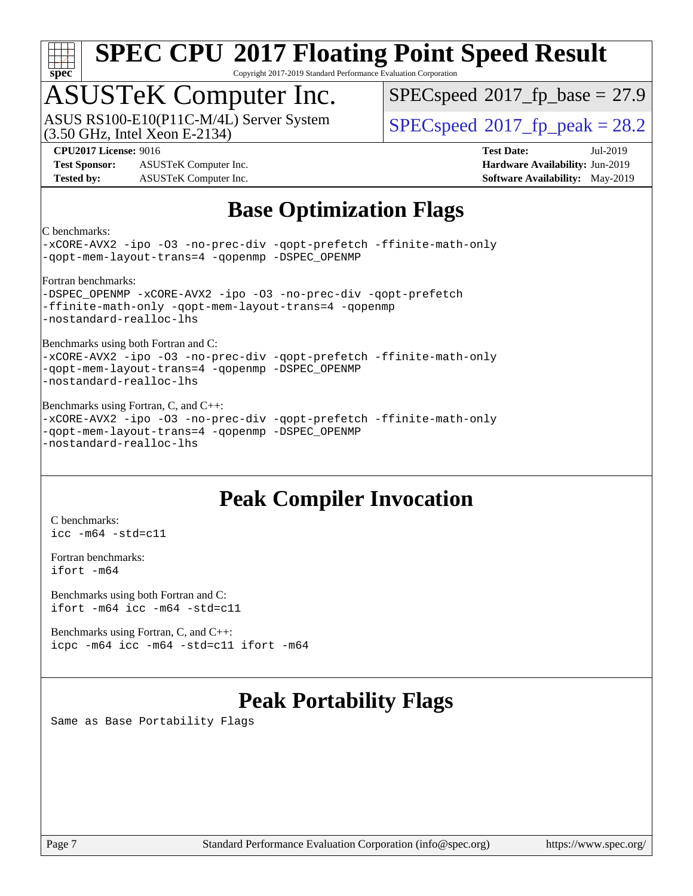

Copyright 2017-2019 Standard Performance Evaluation Corporation

## ASUSTeK Computer Inc.

ASUS RS100-E10(P11C-M/4L) Server System<br>(3.50 GHz, Intel Xeon E-2134)

 $SPECspeed^{\circledcirc}2017$  $SPECspeed^{\circledcirc}2017$  fp base = 27.9

 $SPECspeed^{\circ}2017\_fp\_peak = 28.2$  $SPECspeed^{\circ}2017\_fp\_peak = 28.2$ 

**[Test Sponsor:](http://www.spec.org/auto/cpu2017/Docs/result-fields.html#TestSponsor)** ASUSTeK Computer Inc. **[Hardware Availability:](http://www.spec.org/auto/cpu2017/Docs/result-fields.html#HardwareAvailability)** Jun-2019 **[Tested by:](http://www.spec.org/auto/cpu2017/Docs/result-fields.html#Testedby)** ASUSTeK Computer Inc. **[Software Availability:](http://www.spec.org/auto/cpu2017/Docs/result-fields.html#SoftwareAvailability)** May-2019

**[CPU2017 License:](http://www.spec.org/auto/cpu2017/Docs/result-fields.html#CPU2017License)** 9016 **[Test Date:](http://www.spec.org/auto/cpu2017/Docs/result-fields.html#TestDate)** Jul-2019

### **[Base Optimization Flags](http://www.spec.org/auto/cpu2017/Docs/result-fields.html#BaseOptimizationFlags)**

[C benchmarks:](http://www.spec.org/auto/cpu2017/Docs/result-fields.html#Cbenchmarks)

[-xCORE-AVX2](http://www.spec.org/cpu2017/results/res2019q3/cpu2017-20190826-17242.flags.html#user_CCbase_f-xCORE-AVX2) [-ipo](http://www.spec.org/cpu2017/results/res2019q3/cpu2017-20190826-17242.flags.html#user_CCbase_f-ipo) [-O3](http://www.spec.org/cpu2017/results/res2019q3/cpu2017-20190826-17242.flags.html#user_CCbase_f-O3) [-no-prec-div](http://www.spec.org/cpu2017/results/res2019q3/cpu2017-20190826-17242.flags.html#user_CCbase_f-no-prec-div) [-qopt-prefetch](http://www.spec.org/cpu2017/results/res2019q3/cpu2017-20190826-17242.flags.html#user_CCbase_f-qopt-prefetch) [-ffinite-math-only](http://www.spec.org/cpu2017/results/res2019q3/cpu2017-20190826-17242.flags.html#user_CCbase_f_finite_math_only_cb91587bd2077682c4b38af759c288ed7c732db004271a9512da14a4f8007909a5f1427ecbf1a0fb78ff2a814402c6114ac565ca162485bbcae155b5e4258871) [-qopt-mem-layout-trans=4](http://www.spec.org/cpu2017/results/res2019q3/cpu2017-20190826-17242.flags.html#user_CCbase_f-qopt-mem-layout-trans_fa39e755916c150a61361b7846f310bcdf6f04e385ef281cadf3647acec3f0ae266d1a1d22d972a7087a248fd4e6ca390a3634700869573d231a252c784941a8) [-qopenmp](http://www.spec.org/cpu2017/results/res2019q3/cpu2017-20190826-17242.flags.html#user_CCbase_qopenmp_16be0c44f24f464004c6784a7acb94aca937f053568ce72f94b139a11c7c168634a55f6653758ddd83bcf7b8463e8028bb0b48b77bcddc6b78d5d95bb1df2967) [-DSPEC\\_OPENMP](http://www.spec.org/cpu2017/results/res2019q3/cpu2017-20190826-17242.flags.html#suite_CCbase_DSPEC_OPENMP) [Fortran benchmarks](http://www.spec.org/auto/cpu2017/Docs/result-fields.html#Fortranbenchmarks): -DSPEC OPENMP [-xCORE-AVX2](http://www.spec.org/cpu2017/results/res2019q3/cpu2017-20190826-17242.flags.html#user_FCbase_f-xCORE-AVX2) [-ipo](http://www.spec.org/cpu2017/results/res2019q3/cpu2017-20190826-17242.flags.html#user_FCbase_f-ipo) [-O3](http://www.spec.org/cpu2017/results/res2019q3/cpu2017-20190826-17242.flags.html#user_FCbase_f-O3) [-no-prec-div](http://www.spec.org/cpu2017/results/res2019q3/cpu2017-20190826-17242.flags.html#user_FCbase_f-no-prec-div) [-qopt-prefetch](http://www.spec.org/cpu2017/results/res2019q3/cpu2017-20190826-17242.flags.html#user_FCbase_f-qopt-prefetch) [-ffinite-math-only](http://www.spec.org/cpu2017/results/res2019q3/cpu2017-20190826-17242.flags.html#user_FCbase_f_finite_math_only_cb91587bd2077682c4b38af759c288ed7c732db004271a9512da14a4f8007909a5f1427ecbf1a0fb78ff2a814402c6114ac565ca162485bbcae155b5e4258871) [-qopt-mem-layout-trans=4](http://www.spec.org/cpu2017/results/res2019q3/cpu2017-20190826-17242.flags.html#user_FCbase_f-qopt-mem-layout-trans_fa39e755916c150a61361b7846f310bcdf6f04e385ef281cadf3647acec3f0ae266d1a1d22d972a7087a248fd4e6ca390a3634700869573d231a252c784941a8) [-qopenmp](http://www.spec.org/cpu2017/results/res2019q3/cpu2017-20190826-17242.flags.html#user_FCbase_qopenmp_16be0c44f24f464004c6784a7acb94aca937f053568ce72f94b139a11c7c168634a55f6653758ddd83bcf7b8463e8028bb0b48b77bcddc6b78d5d95bb1df2967) [-nostandard-realloc-lhs](http://www.spec.org/cpu2017/results/res2019q3/cpu2017-20190826-17242.flags.html#user_FCbase_f_2003_std_realloc_82b4557e90729c0f113870c07e44d33d6f5a304b4f63d4c15d2d0f1fab99f5daaed73bdb9275d9ae411527f28b936061aa8b9c8f2d63842963b95c9dd6426b8a) [Benchmarks using both Fortran and C:](http://www.spec.org/auto/cpu2017/Docs/result-fields.html#BenchmarksusingbothFortranandC) [-xCORE-AVX2](http://www.spec.org/cpu2017/results/res2019q3/cpu2017-20190826-17242.flags.html#user_CC_FCbase_f-xCORE-AVX2) [-ipo](http://www.spec.org/cpu2017/results/res2019q3/cpu2017-20190826-17242.flags.html#user_CC_FCbase_f-ipo) [-O3](http://www.spec.org/cpu2017/results/res2019q3/cpu2017-20190826-17242.flags.html#user_CC_FCbase_f-O3) [-no-prec-div](http://www.spec.org/cpu2017/results/res2019q3/cpu2017-20190826-17242.flags.html#user_CC_FCbase_f-no-prec-div) [-qopt-prefetch](http://www.spec.org/cpu2017/results/res2019q3/cpu2017-20190826-17242.flags.html#user_CC_FCbase_f-qopt-prefetch) [-ffinite-math-only](http://www.spec.org/cpu2017/results/res2019q3/cpu2017-20190826-17242.flags.html#user_CC_FCbase_f_finite_math_only_cb91587bd2077682c4b38af759c288ed7c732db004271a9512da14a4f8007909a5f1427ecbf1a0fb78ff2a814402c6114ac565ca162485bbcae155b5e4258871) [-qopt-mem-layout-trans=4](http://www.spec.org/cpu2017/results/res2019q3/cpu2017-20190826-17242.flags.html#user_CC_FCbase_f-qopt-mem-layout-trans_fa39e755916c150a61361b7846f310bcdf6f04e385ef281cadf3647acec3f0ae266d1a1d22d972a7087a248fd4e6ca390a3634700869573d231a252c784941a8) [-qopenmp](http://www.spec.org/cpu2017/results/res2019q3/cpu2017-20190826-17242.flags.html#user_CC_FCbase_qopenmp_16be0c44f24f464004c6784a7acb94aca937f053568ce72f94b139a11c7c168634a55f6653758ddd83bcf7b8463e8028bb0b48b77bcddc6b78d5d95bb1df2967) [-DSPEC\\_OPENMP](http://www.spec.org/cpu2017/results/res2019q3/cpu2017-20190826-17242.flags.html#suite_CC_FCbase_DSPEC_OPENMP) [-nostandard-realloc-lhs](http://www.spec.org/cpu2017/results/res2019q3/cpu2017-20190826-17242.flags.html#user_CC_FCbase_f_2003_std_realloc_82b4557e90729c0f113870c07e44d33d6f5a304b4f63d4c15d2d0f1fab99f5daaed73bdb9275d9ae411527f28b936061aa8b9c8f2d63842963b95c9dd6426b8a) [Benchmarks using Fortran, C, and C++:](http://www.spec.org/auto/cpu2017/Docs/result-fields.html#BenchmarksusingFortranCandCXX) [-xCORE-AVX2](http://www.spec.org/cpu2017/results/res2019q3/cpu2017-20190826-17242.flags.html#user_CC_CXX_FCbase_f-xCORE-AVX2) [-ipo](http://www.spec.org/cpu2017/results/res2019q3/cpu2017-20190826-17242.flags.html#user_CC_CXX_FCbase_f-ipo) [-O3](http://www.spec.org/cpu2017/results/res2019q3/cpu2017-20190826-17242.flags.html#user_CC_CXX_FCbase_f-O3) [-no-prec-div](http://www.spec.org/cpu2017/results/res2019q3/cpu2017-20190826-17242.flags.html#user_CC_CXX_FCbase_f-no-prec-div) [-qopt-prefetch](http://www.spec.org/cpu2017/results/res2019q3/cpu2017-20190826-17242.flags.html#user_CC_CXX_FCbase_f-qopt-prefetch) [-ffinite-math-only](http://www.spec.org/cpu2017/results/res2019q3/cpu2017-20190826-17242.flags.html#user_CC_CXX_FCbase_f_finite_math_only_cb91587bd2077682c4b38af759c288ed7c732db004271a9512da14a4f8007909a5f1427ecbf1a0fb78ff2a814402c6114ac565ca162485bbcae155b5e4258871) [-qopt-mem-layout-trans=4](http://www.spec.org/cpu2017/results/res2019q3/cpu2017-20190826-17242.flags.html#user_CC_CXX_FCbase_f-qopt-mem-layout-trans_fa39e755916c150a61361b7846f310bcdf6f04e385ef281cadf3647acec3f0ae266d1a1d22d972a7087a248fd4e6ca390a3634700869573d231a252c784941a8) [-qopenmp](http://www.spec.org/cpu2017/results/res2019q3/cpu2017-20190826-17242.flags.html#user_CC_CXX_FCbase_qopenmp_16be0c44f24f464004c6784a7acb94aca937f053568ce72f94b139a11c7c168634a55f6653758ddd83bcf7b8463e8028bb0b48b77bcddc6b78d5d95bb1df2967) [-DSPEC\\_OPENMP](http://www.spec.org/cpu2017/results/res2019q3/cpu2017-20190826-17242.flags.html#suite_CC_CXX_FCbase_DSPEC_OPENMP) [-nostandard-realloc-lhs](http://www.spec.org/cpu2017/results/res2019q3/cpu2017-20190826-17242.flags.html#user_CC_CXX_FCbase_f_2003_std_realloc_82b4557e90729c0f113870c07e44d33d6f5a304b4f63d4c15d2d0f1fab99f5daaed73bdb9275d9ae411527f28b936061aa8b9c8f2d63842963b95c9dd6426b8a)

## **[Peak Compiler Invocation](http://www.spec.org/auto/cpu2017/Docs/result-fields.html#PeakCompilerInvocation)**

[C benchmarks](http://www.spec.org/auto/cpu2017/Docs/result-fields.html#Cbenchmarks): [icc -m64 -std=c11](http://www.spec.org/cpu2017/results/res2019q3/cpu2017-20190826-17242.flags.html#user_CCpeak_intel_icc_64bit_c11_33ee0cdaae7deeeab2a9725423ba97205ce30f63b9926c2519791662299b76a0318f32ddfffdc46587804de3178b4f9328c46fa7c2b0cd779d7a61945c91cd35)

[Fortran benchmarks](http://www.spec.org/auto/cpu2017/Docs/result-fields.html#Fortranbenchmarks): [ifort -m64](http://www.spec.org/cpu2017/results/res2019q3/cpu2017-20190826-17242.flags.html#user_FCpeak_intel_ifort_64bit_24f2bb282fbaeffd6157abe4f878425411749daecae9a33200eee2bee2fe76f3b89351d69a8130dd5949958ce389cf37ff59a95e7a40d588e8d3a57e0c3fd751)

[Benchmarks using both Fortran and C](http://www.spec.org/auto/cpu2017/Docs/result-fields.html#BenchmarksusingbothFortranandC): [ifort -m64](http://www.spec.org/cpu2017/results/res2019q3/cpu2017-20190826-17242.flags.html#user_CC_FCpeak_intel_ifort_64bit_24f2bb282fbaeffd6157abe4f878425411749daecae9a33200eee2bee2fe76f3b89351d69a8130dd5949958ce389cf37ff59a95e7a40d588e8d3a57e0c3fd751) [icc -m64 -std=c11](http://www.spec.org/cpu2017/results/res2019q3/cpu2017-20190826-17242.flags.html#user_CC_FCpeak_intel_icc_64bit_c11_33ee0cdaae7deeeab2a9725423ba97205ce30f63b9926c2519791662299b76a0318f32ddfffdc46587804de3178b4f9328c46fa7c2b0cd779d7a61945c91cd35)

[Benchmarks using Fortran, C, and C++:](http://www.spec.org/auto/cpu2017/Docs/result-fields.html#BenchmarksusingFortranCandCXX) [icpc -m64](http://www.spec.org/cpu2017/results/res2019q3/cpu2017-20190826-17242.flags.html#user_CC_CXX_FCpeak_intel_icpc_64bit_4ecb2543ae3f1412ef961e0650ca070fec7b7afdcd6ed48761b84423119d1bf6bdf5cad15b44d48e7256388bc77273b966e5eb805aefd121eb22e9299b2ec9d9) [icc -m64 -std=c11](http://www.spec.org/cpu2017/results/res2019q3/cpu2017-20190826-17242.flags.html#user_CC_CXX_FCpeak_intel_icc_64bit_c11_33ee0cdaae7deeeab2a9725423ba97205ce30f63b9926c2519791662299b76a0318f32ddfffdc46587804de3178b4f9328c46fa7c2b0cd779d7a61945c91cd35) [ifort -m64](http://www.spec.org/cpu2017/results/res2019q3/cpu2017-20190826-17242.flags.html#user_CC_CXX_FCpeak_intel_ifort_64bit_24f2bb282fbaeffd6157abe4f878425411749daecae9a33200eee2bee2fe76f3b89351d69a8130dd5949958ce389cf37ff59a95e7a40d588e8d3a57e0c3fd751)

## **[Peak Portability Flags](http://www.spec.org/auto/cpu2017/Docs/result-fields.html#PeakPortabilityFlags)**

Same as Base Portability Flags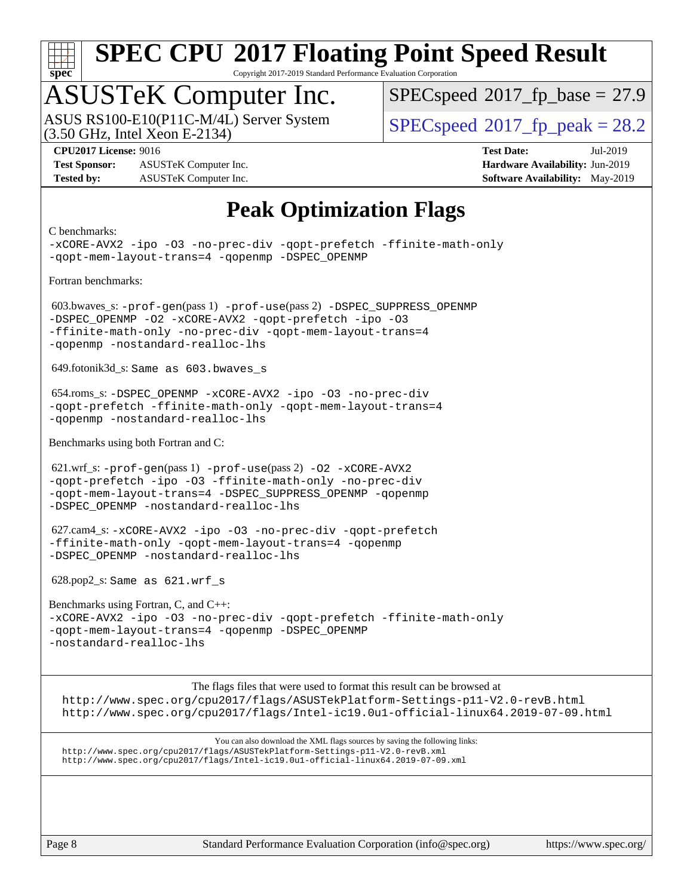

Copyright 2017-2019 Standard Performance Evaluation Corporation

## ASUSTeK Computer Inc.

(3.50 GHz, Intel Xeon E-2134) ASUS RS100-E10(P11C-M/4L) Server System  $SPECspeed@2017$  $SPECspeed@2017$  fp\_peak = 28.2

 $SPECspeed*2017_fp\_base = 27.9$  $SPECspeed*2017_fp\_base = 27.9$ 

**[Test Sponsor:](http://www.spec.org/auto/cpu2017/Docs/result-fields.html#TestSponsor)** ASUSTeK Computer Inc. **[Hardware Availability:](http://www.spec.org/auto/cpu2017/Docs/result-fields.html#HardwareAvailability)** Jun-2019 **[Tested by:](http://www.spec.org/auto/cpu2017/Docs/result-fields.html#Testedby)** ASUSTeK Computer Inc. **[Software Availability:](http://www.spec.org/auto/cpu2017/Docs/result-fields.html#SoftwareAvailability)** May-2019

**[CPU2017 License:](http://www.spec.org/auto/cpu2017/Docs/result-fields.html#CPU2017License)** 9016 **[Test Date:](http://www.spec.org/auto/cpu2017/Docs/result-fields.html#TestDate)** Jul-2019

### **[Peak Optimization Flags](http://www.spec.org/auto/cpu2017/Docs/result-fields.html#PeakOptimizationFlags)**

#### [C benchmarks:](http://www.spec.org/auto/cpu2017/Docs/result-fields.html#Cbenchmarks) [-xCORE-AVX2](http://www.spec.org/cpu2017/results/res2019q3/cpu2017-20190826-17242.flags.html#user_CCpeak_f-xCORE-AVX2) [-ipo](http://www.spec.org/cpu2017/results/res2019q3/cpu2017-20190826-17242.flags.html#user_CCpeak_f-ipo) [-O3](http://www.spec.org/cpu2017/results/res2019q3/cpu2017-20190826-17242.flags.html#user_CCpeak_f-O3) [-no-prec-div](http://www.spec.org/cpu2017/results/res2019q3/cpu2017-20190826-17242.flags.html#user_CCpeak_f-no-prec-div) [-qopt-prefetch](http://www.spec.org/cpu2017/results/res2019q3/cpu2017-20190826-17242.flags.html#user_CCpeak_f-qopt-prefetch) [-ffinite-math-only](http://www.spec.org/cpu2017/results/res2019q3/cpu2017-20190826-17242.flags.html#user_CCpeak_f_finite_math_only_cb91587bd2077682c4b38af759c288ed7c732db004271a9512da14a4f8007909a5f1427ecbf1a0fb78ff2a814402c6114ac565ca162485bbcae155b5e4258871) [-qopt-mem-layout-trans=4](http://www.spec.org/cpu2017/results/res2019q3/cpu2017-20190826-17242.flags.html#user_CCpeak_f-qopt-mem-layout-trans_fa39e755916c150a61361b7846f310bcdf6f04e385ef281cadf3647acec3f0ae266d1a1d22d972a7087a248fd4e6ca390a3634700869573d231a252c784941a8) [-qopenmp](http://www.spec.org/cpu2017/results/res2019q3/cpu2017-20190826-17242.flags.html#user_CCpeak_qopenmp_16be0c44f24f464004c6784a7acb94aca937f053568ce72f94b139a11c7c168634a55f6653758ddd83bcf7b8463e8028bb0b48b77bcddc6b78d5d95bb1df2967) [-DSPEC\\_OPENMP](http://www.spec.org/cpu2017/results/res2019q3/cpu2017-20190826-17242.flags.html#suite_CCpeak_DSPEC_OPENMP) [Fortran benchmarks](http://www.spec.org/auto/cpu2017/Docs/result-fields.html#Fortranbenchmarks): 603.bwaves\_s: [-prof-gen](http://www.spec.org/cpu2017/results/res2019q3/cpu2017-20190826-17242.flags.html#user_peakPASS1_FFLAGSPASS1_LDFLAGS603_bwaves_s_prof_gen_5aa4926d6013ddb2a31985c654b3eb18169fc0c6952a63635c234f711e6e63dd76e94ad52365559451ec499a2cdb89e4dc58ba4c67ef54ca681ffbe1461d6b36)(pass 1) [-prof-use](http://www.spec.org/cpu2017/results/res2019q3/cpu2017-20190826-17242.flags.html#user_peakPASS2_FFLAGSPASS2_LDFLAGS603_bwaves_s_prof_use_1a21ceae95f36a2b53c25747139a6c16ca95bd9def2a207b4f0849963b97e94f5260e30a0c64f4bb623698870e679ca08317ef8150905d41bd88c6f78df73f19)(pass 2) [-DSPEC\\_SUPPRESS\\_OPENMP](http://www.spec.org/cpu2017/results/res2019q3/cpu2017-20190826-17242.flags.html#suite_peakPASS1_FOPTIMIZE603_bwaves_s_DSPEC_SUPPRESS_OPENMP) [-DSPEC\\_OPENMP](http://www.spec.org/cpu2017/results/res2019q3/cpu2017-20190826-17242.flags.html#suite_peakPASS2_FOPTIMIZE603_bwaves_s_DSPEC_OPENMP) [-O2](http://www.spec.org/cpu2017/results/res2019q3/cpu2017-20190826-17242.flags.html#user_peakPASS1_FOPTIMIZE603_bwaves_s_f-O2) [-xCORE-AVX2](http://www.spec.org/cpu2017/results/res2019q3/cpu2017-20190826-17242.flags.html#user_peakPASS2_FOPTIMIZE603_bwaves_s_f-xCORE-AVX2) [-qopt-prefetch](http://www.spec.org/cpu2017/results/res2019q3/cpu2017-20190826-17242.flags.html#user_peakPASS1_FOPTIMIZEPASS2_FOPTIMIZE603_bwaves_s_f-qopt-prefetch) [-ipo](http://www.spec.org/cpu2017/results/res2019q3/cpu2017-20190826-17242.flags.html#user_peakPASS2_FOPTIMIZE603_bwaves_s_f-ipo) [-O3](http://www.spec.org/cpu2017/results/res2019q3/cpu2017-20190826-17242.flags.html#user_peakPASS2_FOPTIMIZE603_bwaves_s_f-O3) [-ffinite-math-only](http://www.spec.org/cpu2017/results/res2019q3/cpu2017-20190826-17242.flags.html#user_peakPASS1_FOPTIMIZEPASS2_FOPTIMIZE603_bwaves_s_f_finite_math_only_cb91587bd2077682c4b38af759c288ed7c732db004271a9512da14a4f8007909a5f1427ecbf1a0fb78ff2a814402c6114ac565ca162485bbcae155b5e4258871) [-no-prec-div](http://www.spec.org/cpu2017/results/res2019q3/cpu2017-20190826-17242.flags.html#user_peakPASS2_FOPTIMIZE603_bwaves_s_f-no-prec-div) [-qopt-mem-layout-trans=4](http://www.spec.org/cpu2017/results/res2019q3/cpu2017-20190826-17242.flags.html#user_peakPASS1_FOPTIMIZEPASS2_FOPTIMIZE603_bwaves_s_f-qopt-mem-layout-trans_fa39e755916c150a61361b7846f310bcdf6f04e385ef281cadf3647acec3f0ae266d1a1d22d972a7087a248fd4e6ca390a3634700869573d231a252c784941a8) [-qopenmp](http://www.spec.org/cpu2017/results/res2019q3/cpu2017-20190826-17242.flags.html#user_peakPASS2_FOPTIMIZE603_bwaves_s_qopenmp_16be0c44f24f464004c6784a7acb94aca937f053568ce72f94b139a11c7c168634a55f6653758ddd83bcf7b8463e8028bb0b48b77bcddc6b78d5d95bb1df2967) [-nostandard-realloc-lhs](http://www.spec.org/cpu2017/results/res2019q3/cpu2017-20190826-17242.flags.html#user_peakEXTRA_FOPTIMIZE603_bwaves_s_f_2003_std_realloc_82b4557e90729c0f113870c07e44d33d6f5a304b4f63d4c15d2d0f1fab99f5daaed73bdb9275d9ae411527f28b936061aa8b9c8f2d63842963b95c9dd6426b8a) 649.fotonik3d\_s: Same as 603.bwaves\_s 654.roms\_s: [-DSPEC\\_OPENMP](http://www.spec.org/cpu2017/results/res2019q3/cpu2017-20190826-17242.flags.html#suite_peakFOPTIMIZE654_roms_s_DSPEC_OPENMP) [-xCORE-AVX2](http://www.spec.org/cpu2017/results/res2019q3/cpu2017-20190826-17242.flags.html#user_peakFOPTIMIZE654_roms_s_f-xCORE-AVX2) [-ipo](http://www.spec.org/cpu2017/results/res2019q3/cpu2017-20190826-17242.flags.html#user_peakFOPTIMIZE654_roms_s_f-ipo) [-O3](http://www.spec.org/cpu2017/results/res2019q3/cpu2017-20190826-17242.flags.html#user_peakFOPTIMIZE654_roms_s_f-O3) [-no-prec-div](http://www.spec.org/cpu2017/results/res2019q3/cpu2017-20190826-17242.flags.html#user_peakFOPTIMIZE654_roms_s_f-no-prec-div) [-qopt-prefetch](http://www.spec.org/cpu2017/results/res2019q3/cpu2017-20190826-17242.flags.html#user_peakFOPTIMIZE654_roms_s_f-qopt-prefetch) [-ffinite-math-only](http://www.spec.org/cpu2017/results/res2019q3/cpu2017-20190826-17242.flags.html#user_peakFOPTIMIZE654_roms_s_f_finite_math_only_cb91587bd2077682c4b38af759c288ed7c732db004271a9512da14a4f8007909a5f1427ecbf1a0fb78ff2a814402c6114ac565ca162485bbcae155b5e4258871) [-qopt-mem-layout-trans=4](http://www.spec.org/cpu2017/results/res2019q3/cpu2017-20190826-17242.flags.html#user_peakFOPTIMIZE654_roms_s_f-qopt-mem-layout-trans_fa39e755916c150a61361b7846f310bcdf6f04e385ef281cadf3647acec3f0ae266d1a1d22d972a7087a248fd4e6ca390a3634700869573d231a252c784941a8) [-qopenmp](http://www.spec.org/cpu2017/results/res2019q3/cpu2017-20190826-17242.flags.html#user_peakFOPTIMIZE654_roms_s_qopenmp_16be0c44f24f464004c6784a7acb94aca937f053568ce72f94b139a11c7c168634a55f6653758ddd83bcf7b8463e8028bb0b48b77bcddc6b78d5d95bb1df2967) [-nostandard-realloc-lhs](http://www.spec.org/cpu2017/results/res2019q3/cpu2017-20190826-17242.flags.html#user_peakEXTRA_FOPTIMIZE654_roms_s_f_2003_std_realloc_82b4557e90729c0f113870c07e44d33d6f5a304b4f63d4c15d2d0f1fab99f5daaed73bdb9275d9ae411527f28b936061aa8b9c8f2d63842963b95c9dd6426b8a) [Benchmarks using both Fortran and C:](http://www.spec.org/auto/cpu2017/Docs/result-fields.html#BenchmarksusingbothFortranandC) 621.wrf\_s: [-prof-gen](http://www.spec.org/cpu2017/results/res2019q3/cpu2017-20190826-17242.flags.html#user_peakPASS1_CFLAGSPASS1_FFLAGSPASS1_LDFLAGS621_wrf_s_prof_gen_5aa4926d6013ddb2a31985c654b3eb18169fc0c6952a63635c234f711e6e63dd76e94ad52365559451ec499a2cdb89e4dc58ba4c67ef54ca681ffbe1461d6b36)(pass 1) [-prof-use](http://www.spec.org/cpu2017/results/res2019q3/cpu2017-20190826-17242.flags.html#user_peakPASS2_CFLAGSPASS2_FFLAGSPASS2_LDFLAGS621_wrf_s_prof_use_1a21ceae95f36a2b53c25747139a6c16ca95bd9def2a207b4f0849963b97e94f5260e30a0c64f4bb623698870e679ca08317ef8150905d41bd88c6f78df73f19)(pass 2) [-O2](http://www.spec.org/cpu2017/results/res2019q3/cpu2017-20190826-17242.flags.html#user_peakPASS1_COPTIMIZEPASS1_FOPTIMIZE621_wrf_s_f-O2) [-xCORE-AVX2](http://www.spec.org/cpu2017/results/res2019q3/cpu2017-20190826-17242.flags.html#user_peakPASS2_COPTIMIZEPASS2_FOPTIMIZE621_wrf_s_f-xCORE-AVX2) [-qopt-prefetch](http://www.spec.org/cpu2017/results/res2019q3/cpu2017-20190826-17242.flags.html#user_peakPASS1_COPTIMIZEPASS1_FOPTIMIZEPASS2_COPTIMIZEPASS2_FOPTIMIZE621_wrf_s_f-qopt-prefetch) [-ipo](http://www.spec.org/cpu2017/results/res2019q3/cpu2017-20190826-17242.flags.html#user_peakPASS2_COPTIMIZEPASS2_FOPTIMIZE621_wrf_s_f-ipo) [-O3](http://www.spec.org/cpu2017/results/res2019q3/cpu2017-20190826-17242.flags.html#user_peakPASS2_COPTIMIZEPASS2_FOPTIMIZE621_wrf_s_f-O3) [-ffinite-math-only](http://www.spec.org/cpu2017/results/res2019q3/cpu2017-20190826-17242.flags.html#user_peakPASS1_COPTIMIZEPASS1_FOPTIMIZEPASS2_COPTIMIZEPASS2_FOPTIMIZE621_wrf_s_f_finite_math_only_cb91587bd2077682c4b38af759c288ed7c732db004271a9512da14a4f8007909a5f1427ecbf1a0fb78ff2a814402c6114ac565ca162485bbcae155b5e4258871) [-no-prec-div](http://www.spec.org/cpu2017/results/res2019q3/cpu2017-20190826-17242.flags.html#user_peakPASS2_COPTIMIZEPASS2_FOPTIMIZE621_wrf_s_f-no-prec-div) [-qopt-mem-layout-trans=4](http://www.spec.org/cpu2017/results/res2019q3/cpu2017-20190826-17242.flags.html#user_peakPASS1_COPTIMIZEPASS1_FOPTIMIZEPASS2_COPTIMIZEPASS2_FOPTIMIZE621_wrf_s_f-qopt-mem-layout-trans_fa39e755916c150a61361b7846f310bcdf6f04e385ef281cadf3647acec3f0ae266d1a1d22d972a7087a248fd4e6ca390a3634700869573d231a252c784941a8) [-DSPEC\\_SUPPRESS\\_OPENMP](http://www.spec.org/cpu2017/results/res2019q3/cpu2017-20190826-17242.flags.html#suite_peakPASS1_COPTIMIZEPASS1_FOPTIMIZE621_wrf_s_DSPEC_SUPPRESS_OPENMP) [-qopenmp](http://www.spec.org/cpu2017/results/res2019q3/cpu2017-20190826-17242.flags.html#user_peakPASS2_COPTIMIZEPASS2_FOPTIMIZE621_wrf_s_qopenmp_16be0c44f24f464004c6784a7acb94aca937f053568ce72f94b139a11c7c168634a55f6653758ddd83bcf7b8463e8028bb0b48b77bcddc6b78d5d95bb1df2967) [-DSPEC\\_OPENMP](http://www.spec.org/cpu2017/results/res2019q3/cpu2017-20190826-17242.flags.html#suite_peakPASS2_COPTIMIZEPASS2_FOPTIMIZE621_wrf_s_DSPEC_OPENMP) [-nostandard-realloc-lhs](http://www.spec.org/cpu2017/results/res2019q3/cpu2017-20190826-17242.flags.html#user_peakEXTRA_FOPTIMIZE621_wrf_s_f_2003_std_realloc_82b4557e90729c0f113870c07e44d33d6f5a304b4f63d4c15d2d0f1fab99f5daaed73bdb9275d9ae411527f28b936061aa8b9c8f2d63842963b95c9dd6426b8a) 627.cam4\_s: [-xCORE-AVX2](http://www.spec.org/cpu2017/results/res2019q3/cpu2017-20190826-17242.flags.html#user_peakCOPTIMIZEFOPTIMIZE627_cam4_s_f-xCORE-AVX2) [-ipo](http://www.spec.org/cpu2017/results/res2019q3/cpu2017-20190826-17242.flags.html#user_peakCOPTIMIZEFOPTIMIZE627_cam4_s_f-ipo) [-O3](http://www.spec.org/cpu2017/results/res2019q3/cpu2017-20190826-17242.flags.html#user_peakCOPTIMIZEFOPTIMIZE627_cam4_s_f-O3) [-no-prec-div](http://www.spec.org/cpu2017/results/res2019q3/cpu2017-20190826-17242.flags.html#user_peakCOPTIMIZEFOPTIMIZE627_cam4_s_f-no-prec-div) [-qopt-prefetch](http://www.spec.org/cpu2017/results/res2019q3/cpu2017-20190826-17242.flags.html#user_peakCOPTIMIZEFOPTIMIZE627_cam4_s_f-qopt-prefetch) [-ffinite-math-only](http://www.spec.org/cpu2017/results/res2019q3/cpu2017-20190826-17242.flags.html#user_peakCOPTIMIZEFOPTIMIZE627_cam4_s_f_finite_math_only_cb91587bd2077682c4b38af759c288ed7c732db004271a9512da14a4f8007909a5f1427ecbf1a0fb78ff2a814402c6114ac565ca162485bbcae155b5e4258871) [-qopt-mem-layout-trans=4](http://www.spec.org/cpu2017/results/res2019q3/cpu2017-20190826-17242.flags.html#user_peakCOPTIMIZEFOPTIMIZE627_cam4_s_f-qopt-mem-layout-trans_fa39e755916c150a61361b7846f310bcdf6f04e385ef281cadf3647acec3f0ae266d1a1d22d972a7087a248fd4e6ca390a3634700869573d231a252c784941a8) [-qopenmp](http://www.spec.org/cpu2017/results/res2019q3/cpu2017-20190826-17242.flags.html#user_peakCOPTIMIZEFOPTIMIZE627_cam4_s_qopenmp_16be0c44f24f464004c6784a7acb94aca937f053568ce72f94b139a11c7c168634a55f6653758ddd83bcf7b8463e8028bb0b48b77bcddc6b78d5d95bb1df2967) [-DSPEC\\_OPENMP](http://www.spec.org/cpu2017/results/res2019q3/cpu2017-20190826-17242.flags.html#suite_peakCOPTIMIZEFOPTIMIZE627_cam4_s_DSPEC_OPENMP) [-nostandard-realloc-lhs](http://www.spec.org/cpu2017/results/res2019q3/cpu2017-20190826-17242.flags.html#user_peakEXTRA_FOPTIMIZE627_cam4_s_f_2003_std_realloc_82b4557e90729c0f113870c07e44d33d6f5a304b4f63d4c15d2d0f1fab99f5daaed73bdb9275d9ae411527f28b936061aa8b9c8f2d63842963b95c9dd6426b8a) 628.pop2\_s: Same as 621.wrf\_s [Benchmarks using Fortran, C, and C++:](http://www.spec.org/auto/cpu2017/Docs/result-fields.html#BenchmarksusingFortranCandCXX) [-xCORE-AVX2](http://www.spec.org/cpu2017/results/res2019q3/cpu2017-20190826-17242.flags.html#user_CC_CXX_FCpeak_f-xCORE-AVX2) [-ipo](http://www.spec.org/cpu2017/results/res2019q3/cpu2017-20190826-17242.flags.html#user_CC_CXX_FCpeak_f-ipo) [-O3](http://www.spec.org/cpu2017/results/res2019q3/cpu2017-20190826-17242.flags.html#user_CC_CXX_FCpeak_f-O3) [-no-prec-div](http://www.spec.org/cpu2017/results/res2019q3/cpu2017-20190826-17242.flags.html#user_CC_CXX_FCpeak_f-no-prec-div) [-qopt-prefetch](http://www.spec.org/cpu2017/results/res2019q3/cpu2017-20190826-17242.flags.html#user_CC_CXX_FCpeak_f-qopt-prefetch) [-ffinite-math-only](http://www.spec.org/cpu2017/results/res2019q3/cpu2017-20190826-17242.flags.html#user_CC_CXX_FCpeak_f_finite_math_only_cb91587bd2077682c4b38af759c288ed7c732db004271a9512da14a4f8007909a5f1427ecbf1a0fb78ff2a814402c6114ac565ca162485bbcae155b5e4258871) [-qopt-mem-layout-trans=4](http://www.spec.org/cpu2017/results/res2019q3/cpu2017-20190826-17242.flags.html#user_CC_CXX_FCpeak_f-qopt-mem-layout-trans_fa39e755916c150a61361b7846f310bcdf6f04e385ef281cadf3647acec3f0ae266d1a1d22d972a7087a248fd4e6ca390a3634700869573d231a252c784941a8) [-qopenmp](http://www.spec.org/cpu2017/results/res2019q3/cpu2017-20190826-17242.flags.html#user_CC_CXX_FCpeak_qopenmp_16be0c44f24f464004c6784a7acb94aca937f053568ce72f94b139a11c7c168634a55f6653758ddd83bcf7b8463e8028bb0b48b77bcddc6b78d5d95bb1df2967) [-DSPEC\\_OPENMP](http://www.spec.org/cpu2017/results/res2019q3/cpu2017-20190826-17242.flags.html#suite_CC_CXX_FCpeak_DSPEC_OPENMP) [-nostandard-realloc-lhs](http://www.spec.org/cpu2017/results/res2019q3/cpu2017-20190826-17242.flags.html#user_CC_CXX_FCpeak_f_2003_std_realloc_82b4557e90729c0f113870c07e44d33d6f5a304b4f63d4c15d2d0f1fab99f5daaed73bdb9275d9ae411527f28b936061aa8b9c8f2d63842963b95c9dd6426b8a) [The flags files that were used to format this result can be browsed at](tmsearch) <http://www.spec.org/cpu2017/flags/ASUSTekPlatform-Settings-p11-V2.0-revB.html> <http://www.spec.org/cpu2017/flags/Intel-ic19.0u1-official-linux64.2019-07-09.html> [You can also download the XML flags sources by saving the following links:](tmsearch) <http://www.spec.org/cpu2017/flags/ASUSTekPlatform-Settings-p11-V2.0-revB.xml> <http://www.spec.org/cpu2017/flags/Intel-ic19.0u1-official-linux64.2019-07-09.xml>